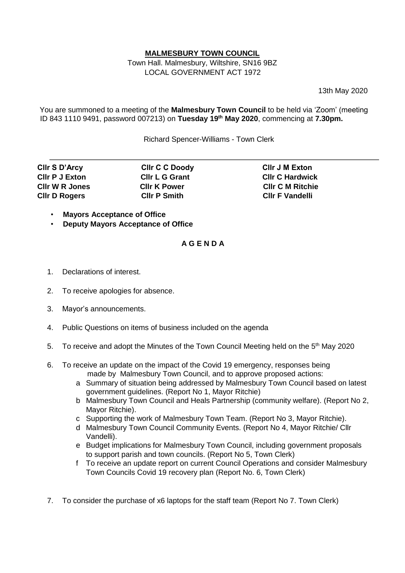## **MALMESBURY TOWN COUNCIL**

Town Hall. Malmesbury, Wiltshire, SN16 9BZ LOCAL GOVERNMENT ACT 1972

13th May 2020

You are summoned to a meeting of the **Malmesbury Town Council** to be held via 'Zoom' (meeting ID 843 1110 9491, password 007213) on **Tuesday 19th May 2020**, commencing at **7.30pm.** 

Richard Spencer-Williams - Town Clerk

| <b>Clir C C Doody</b> | <b>CIIr J M Exton</b>   |
|-----------------------|-------------------------|
| <b>CIIr L G Grant</b> | <b>CIIr C Hardwick</b>  |
| <b>CIIr K Power</b>   | <b>CIIr C M Ritchie</b> |
| <b>CIIr P Smith</b>   | <b>CIIr F Vandelli</b>  |
|                       |                         |

- **Mayors Acceptance of Office**
- **Deputy Mayors Acceptance of Office**

## **A G E N D A**

- 1. Declarations of interest.
- 2. To receive apologies for absence.
- 3. Mayor's announcements.
- 4. Public Questions on items of business included on the agenda
- 5. To receive and adopt the Minutes of the Town Council Meeting held on the  $5<sup>th</sup>$  May 2020
- 6. To receive an update on the impact of the Covid 19 emergency, responses being made by Malmesbury Town Council, and to approve proposed actions:
	- a Summary of situation being addressed by Malmesbury Town Council based on latest government guidelines. (Report No 1, Mayor Ritchie)
	- b Malmesbury Town Council and Heals Partnership (community welfare). (Report No 2, Mayor Ritchie).
	- c Supporting the work of Malmesbury Town Team. (Report No 3, Mayor Ritchie).
	- d Malmesbury Town Council Community Events. (Report No 4, Mayor Ritchie/ Cllr Vandelli).
	- e Budget implications for Malmesbury Town Council, including government proposals to support parish and town councils. (Report No 5, Town Clerk)
	- f To receive an update report on current Council Operations and consider Malmesbury Town Councils Covid 19 recovery plan (Report No. 6, Town Clerk)
- 7. To consider the purchase of x6 laptops for the staff team (Report No 7. Town Clerk)